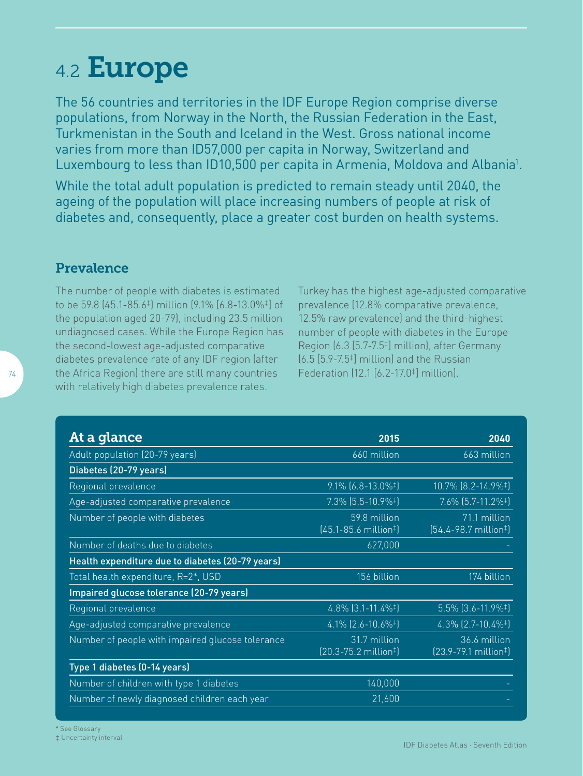# 4.2 Europe

The 56 countries and territories in the IDF Europe Region comprise diverse populations, from Norway in the North, the Russian Federation in the East, Turkmenistan in the South and Iceland in the West. Gross national income varies from more than ID57,000 per capita in Norway, Switzerland and Luxembourg to less than ID10,500 per capita in Armenia, Moldova and Albania<sup>1</sup>.

While the total adult population is predicted to remain steady until 2040, the ageing of the population will place increasing numbers of people at risk of diabetes and, consequently, place a greater cost burden on health systems.

## Prevalence

The number of people with diabetes is estimated to be 59.8 (45.1-85.6‡) million (9.1% [6.8-13.0%‡] of the population aged 20-79), including 23.5 million undiagnosed cases. While the Europe Region has the second-lowest age-adjusted comparative diabetes prevalence rate of any IDF region (after the Africa Region) there are still many countries with relatively high diabetes prevalence rates.

Turkey has the highest age-adjusted comparative prevalence (12.8% comparative prevalence, 12.5% raw prevalence) and the third-highest number of people with diabetes in the Europe Region (6.3 [5.7-7.5‡] million), after Germany (6.5 [5.9-7.5‡] million) and the Russian Federation (12.1 [6.2-17.0‡] million).

| At a glance                                      | 2015                                                       | 2040                                                       |
|--------------------------------------------------|------------------------------------------------------------|------------------------------------------------------------|
| Adult population (20-79 years)                   | 660 million                                                | 663 million                                                |
| Diabetes (20-79 years)                           |                                                            |                                                            |
| Regional prevalence                              | $9.1\%$ (6.8-13.0% <sup>‡</sup> )                          | 10.7% $(8.2 - 14.9\%$ <sup>‡</sup> )                       |
| Age-adjusted comparative prevalence              | $7.3\%$ (5.5-10.9% <sup>‡</sup> )                          | $7.6\%$ $(5.7-11.2\%^{\dagger})$                           |
| Number of people with diabetes                   | 59.8 million<br>$(45.1 - 85.6 \text{ million}^{\ddagger})$ | 71.1 million<br>$[54.4 - 98.7 \text{ million}^+]$          |
| Number of deaths due to diabetes                 | 627,000                                                    |                                                            |
| Health expenditure due to diabetes (20-79 years) |                                                            |                                                            |
| Total health expenditure, R=2*, USD              | 156 billion                                                | 174 billion                                                |
| Impaired glucose tolerance (20-79 years)         |                                                            |                                                            |
| Regional prevalence                              | 4.8% [3.1-11.4% <sup>‡</sup> ]                             | 5.5% (3.6-11.9% <sup>‡</sup> )                             |
| Age-adjusted comparative prevalence              | $4.1\%$ (2.6-10.6% <sup>‡</sup> )                          | $4.3\%$ (2.7-10.4% <sup>‡</sup> )                          |
| Number of people with impaired glucose tolerance | 31.7 million<br>$(20.3 - 75.2 \text{ million}^{\ddagger})$ | 36.6 million<br>$(23.9 - 79.1 \text{ million}^{\ddagger})$ |
| Type 1 diabetes (0-14 years)                     |                                                            |                                                            |
| Number of children with type 1 diabetes          | 140,000                                                    |                                                            |
| Number of newly diagnosed children each year     | 21,600                                                     |                                                            |

74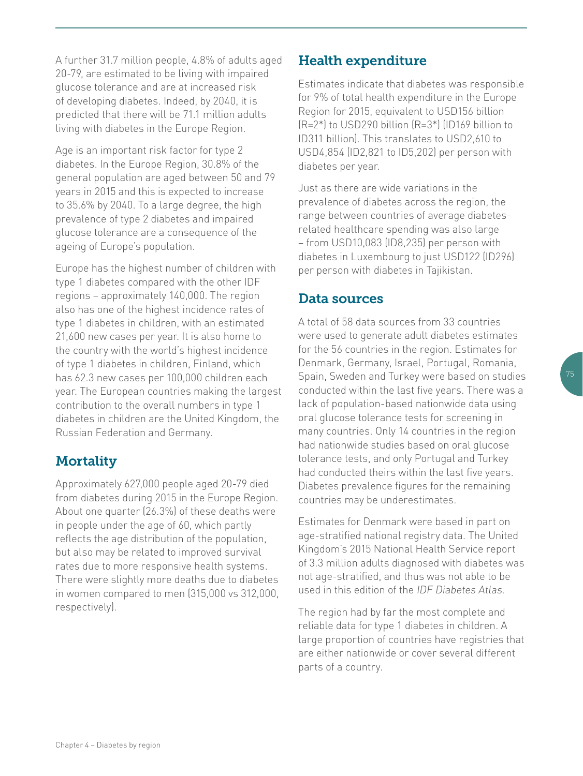A further 31.7 million people, 4.8% of adults aged 20-79, are estimated to be living with impaired glucose tolerance and are at increased risk of developing diabetes. Indeed, by 2040, it is predicted that there will be 71.1 million adults living with diabetes in the Europe Region.

Age is an important risk factor for type 2 diabetes. In the Europe Region, 30.8% of the general population are aged between 50 and 79 years in 2015 and this is expected to increase to 35.6% by 2040. To a large degree, the high prevalence of type 2 diabetes and impaired glucose tolerance are a consequence of the ageing of Europe's population.

Europe has the highest number of children with type 1 diabetes compared with the other IDF regions – approximately 140,000. The region also has one of the highest incidence rates of type 1 diabetes in children, with an estimated 21,600 new cases per year. It is also home to the country with the world's highest incidence of type 1 diabetes in children, Finland, which has 62.3 new cases per 100,000 children each year. The European countries making the largest contribution to the overall numbers in type 1 diabetes in children are the United Kingdom, the Russian Federation and Germany.

# **Mortality**

Approximately 627,000 people aged 20-79 died from diabetes during 2015 in the Europe Region. About one quarter (26.3%) of these deaths were in people under the age of 60, which partly reflects the age distribution of the population, but also may be related to improved survival rates due to more responsive health systems. There were slightly more deaths due to diabetes in women compared to men (315,000 vs 312,000, respectively).

# Health expenditure

Estimates indicate that diabetes was responsible for 9% of total health expenditure in the Europe Region for 2015, equivalent to USD156 billion (R=2\*) to USD290 billion (R=3\*) (ID169 billion to ID311 billion). This translates to USD2,610 to USD4,854 (ID2,821 to ID5,202) per person with diabetes per year.

Just as there are wide variations in the prevalence of diabetes across the region, the range between countries of average diabetesrelated healthcare spending was also large – from USD10,083 (ID8,235) per person with diabetes in Luxembourg to just USD122 (ID296) per person with diabetes in Tajikistan.

# Data sources

A total of 58 data sources from 33 countries were used to generate adult diabetes estimates for the 56 countries in the region. Estimates for Denmark, Germany, Israel, Portugal, Romania, Spain, Sweden and Turkey were based on studies conducted within the last five years. There was a lack of population-based nationwide data using oral glucose tolerance tests for screening in many countries. Only 14 countries in the region had nationwide studies based on oral glucose tolerance tests, and only Portugal and Turkey had conducted theirs within the last five years. Diabetes prevalence figures for the remaining countries may be underestimates.

Estimates for Denmark were based in part on age-stratified national registry data. The United Kingdom's 2015 National Health Service report of 3.3 million adults diagnosed with diabetes was not age-stratified, and thus was not able to be used in this edition of the IDF Diabetes Atlas.

The region had by far the most complete and reliable data for type 1 diabetes in children. A large proportion of countries have registries that are either nationwide or cover several different parts of a country.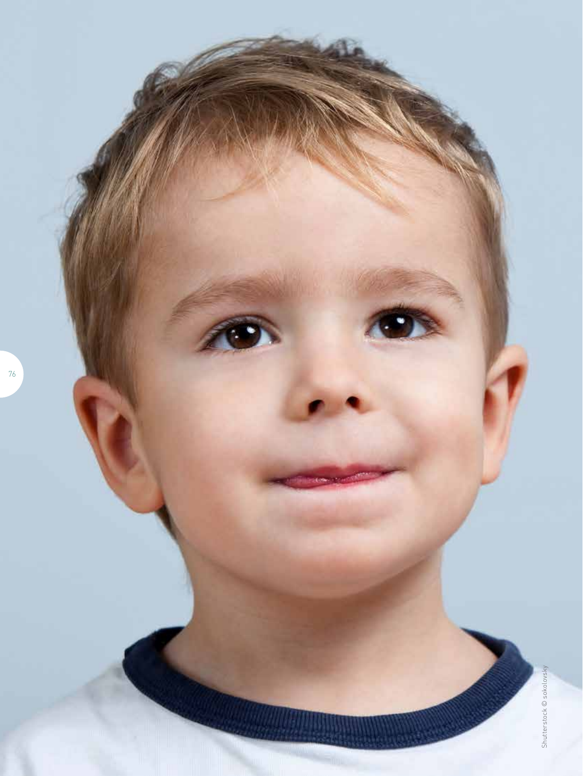